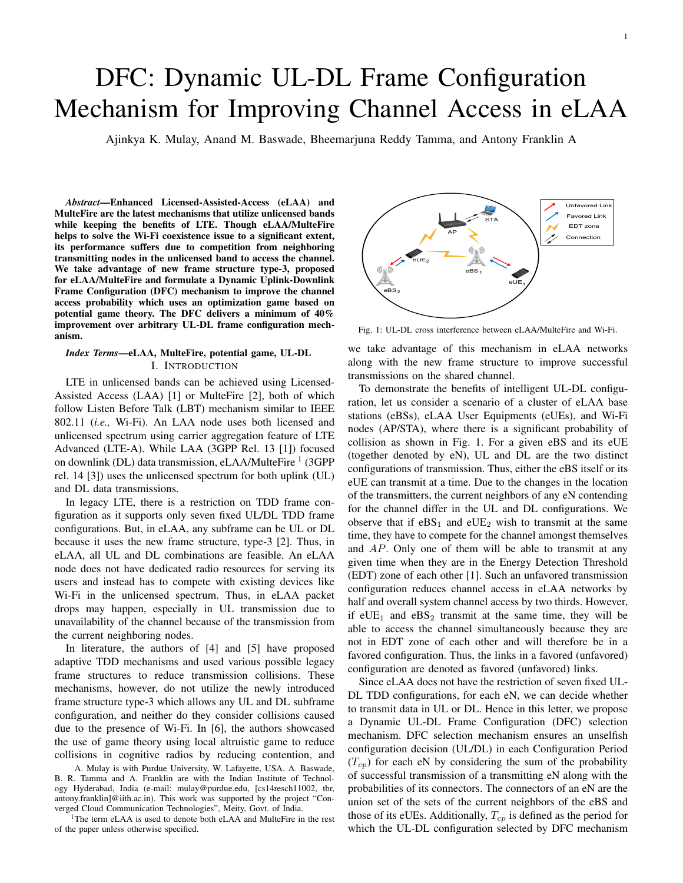# DFC: Dynamic UL-DL Frame Configuration Mechanism for Improving Channel Access in eLAA

Ajinkya K. Mulay, Anand M. Baswade, Bheemarjuna Reddy Tamma, and Antony Franklin A

*Abstract*—Enhanced Licensed-Assisted-Access (eLAA) and MulteFire are the latest mechanisms that utilize unlicensed bands while keeping the benefits of LTE. Though eLAA/MulteFire helps to solve the Wi-Fi coexistence issue to a significant extent, its performance suffers due to competition from neighboring transmitting nodes in the unlicensed band to access the channel. We take advantage of new frame structure type-3, proposed for eLAA/MulteFire and formulate a Dynamic Uplink-Downlink Frame Configuration (DFC) mechanism to improve the channel access probability which uses an optimization game based on potential game theory. The DFC delivers a minimum of 40% improvement over arbitrary UL-DL frame configuration mechanism.

## *Index Terms*—eLAA, MulteFire, potential game, UL-DL I. INTRODUCTION

LTE in unlicensed bands can be achieved using Licensed-Assisted Access (LAA) [1] or MulteFire [2], both of which follow Listen Before Talk (LBT) mechanism similar to IEEE 802.11 (*i.e.,* Wi-Fi). An LAA node uses both licensed and unlicensed spectrum using carrier aggregation feature of LTE Advanced (LTE-A). While LAA (3GPP Rel. 13 [1]) focused on downlink (DL) data transmission, eLAA/MulteFire <sup>1</sup> (3GPP rel. 14 [3]) uses the unlicensed spectrum for both uplink (UL) and DL data transmissions.

In legacy LTE, there is a restriction on TDD frame configuration as it supports only seven fixed UL/DL TDD frame configurations. But, in eLAA, any subframe can be UL or DL because it uses the new frame structure, type-3 [2]. Thus, in eLAA, all UL and DL combinations are feasible. An eLAA node does not have dedicated radio resources for serving its users and instead has to compete with existing devices like Wi-Fi in the unlicensed spectrum. Thus, in eLAA packet drops may happen, especially in UL transmission due to unavailability of the channel because of the transmission from the current neighboring nodes.

In literature, the authors of [4] and [5] have proposed adaptive TDD mechanisms and used various possible legacy frame structures to reduce transmission collisions. These mechanisms, however, do not utilize the newly introduced frame structure type-3 which allows any UL and DL subframe configuration, and neither do they consider collisions caused due to the presence of Wi-Fi. In [6], the authors showcased the use of game theory using local altruistic game to reduce collisions in cognitive radios by reducing contention, and

A. Mulay is with Purdue University, W. Lafayette, USA. A. Baswade, B. R. Tamma and A. Franklin are with the Indian Institute of Technology Hyderabad, India (e-mail: mulay@purdue.edu, [cs14resch11002, tbr, antony.franklin]@iith.ac.in). This work was supported by the project "Converged Cloud Communication Technologies", Meity, Govt. of India.

<sup>1</sup>The term eLAA is used to denote both eLAA and MulteFire in the rest of the paper unless otherwise specified.



Fig. 1: UL-DL cross interference between eLAA/MulteFire and Wi-Fi.

we take advantage of this mechanism in eLAA networks along with the new frame structure to improve successful transmissions on the shared channel.

To demonstrate the benefits of intelligent UL-DL configuration, let us consider a scenario of a cluster of eLAA base stations (eBSs), eLAA User Equipments (eUEs), and Wi-Fi nodes (AP/STA), where there is a significant probability of collision as shown in Fig. 1. For a given eBS and its eUE (together denoted by eN), UL and DL are the two distinct configurations of transmission. Thus, either the eBS itself or its eUE can transmit at a time. Due to the changes in the location of the transmitters, the current neighbors of any eN contending for the channel differ in the UL and DL configurations. We observe that if  $eBS_1$  and  $eUE_2$  wish to transmit at the same time, they have to compete for the channel amongst themselves and AP. Only one of them will be able to transmit at any given time when they are in the Energy Detection Threshold (EDT) zone of each other [1]. Such an unfavored transmission configuration reduces channel access in eLAA networks by half and overall system channel access by two thirds. However, if  $eUE_1$  and  $eBS_2$  transmit at the same time, they will be able to access the channel simultaneously because they are not in EDT zone of each other and will therefore be in a favored configuration. Thus, the links in a favored (unfavored) configuration are denoted as favored (unfavored) links.

Since eLAA does not have the restriction of seven fixed UL-DL TDD configurations, for each eN, we can decide whether to transmit data in UL or DL. Hence in this letter, we propose a Dynamic UL-DL Frame Configuration (DFC) selection mechanism. DFC selection mechanism ensures an unselfish configuration decision (UL/DL) in each Configuration Period  $(T_{cp})$  for each eN by considering the sum of the probability of successful transmission of a transmitting eN along with the probabilities of its connectors. The connectors of an eN are the union set of the sets of the current neighbors of the eBS and those of its eUEs. Additionally,  $T_{cp}$  is defined as the period for which the UL-DL configuration selected by DFC mechanism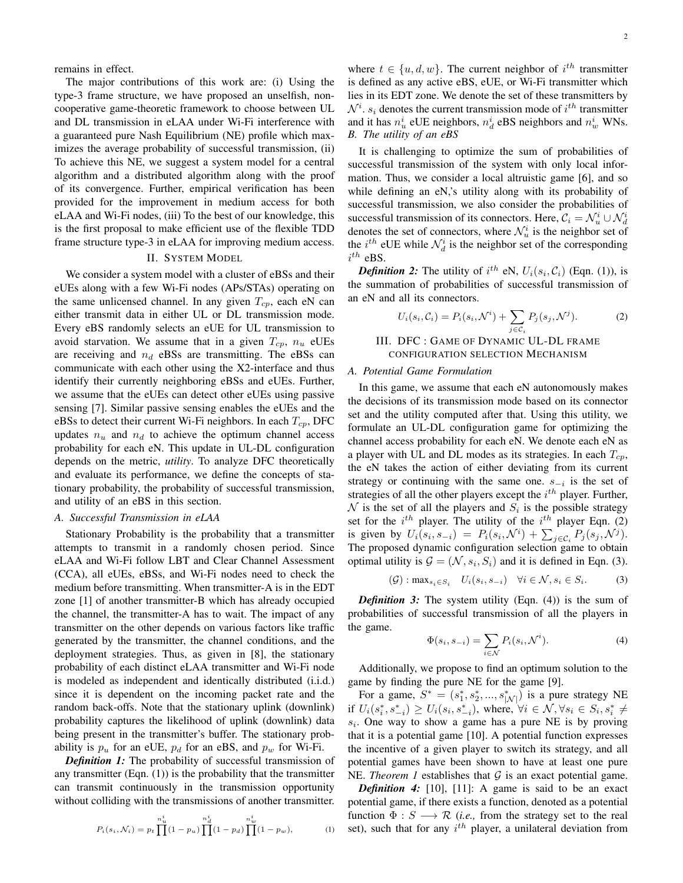remains in effect.

The major contributions of this work are: (i) Using the type-3 frame structure, we have proposed an unselfish, noncooperative game-theoretic framework to choose between UL and DL transmission in eLAA under Wi-Fi interference with a guaranteed pure Nash Equilibrium (NE) profile which maximizes the average probability of successful transmission, (ii) To achieve this NE, we suggest a system model for a central algorithm and a distributed algorithm along with the proof of its convergence. Further, empirical verification has been provided for the improvement in medium access for both eLAA and Wi-Fi nodes, (iii) To the best of our knowledge, this is the first proposal to make efficient use of the flexible TDD frame structure type-3 in eLAA for improving medium access.

## II. SYSTEM MODEL

We consider a system model with a cluster of eBSs and their eUEs along with a few Wi-Fi nodes (APs/STAs) operating on the same unlicensed channel. In any given  $T_{cp}$ , each eN can either transmit data in either UL or DL transmission mode. Every eBS randomly selects an eUE for UL transmission to avoid starvation. We assume that in a given  $T_{cp}$ ,  $n_u$  eUEs are receiving and  $n_d$  eBSs are transmitting. The eBSs can communicate with each other using the X2-interface and thus identify their currently neighboring eBSs and eUEs. Further, we assume that the eUEs can detect other eUEs using passive sensing [7]. Similar passive sensing enables the eUEs and the eBSs to detect their current Wi-Fi neighbors. In each  $T_{cp}$ , DFC updates  $n_u$  and  $n_d$  to achieve the optimum channel access probability for each eN. This update in UL-DL configuration depends on the metric, *utility*. To analyze DFC theoretically and evaluate its performance, we define the concepts of stationary probability, the probability of successful transmission, and utility of an eBS in this section.

#### *A. Successful Transmission in eLAA*

Stationary Probability is the probability that a transmitter attempts to transmit in a randomly chosen period. Since eLAA and Wi-Fi follow LBT and Clear Channel Assessment (CCA), all eUEs, eBSs, and Wi-Fi nodes need to check the medium before transmitting. When transmitter-A is in the EDT zone [1] of another transmitter-B which has already occupied the channel, the transmitter-A has to wait. The impact of any transmitter on the other depends on various factors like traffic generated by the transmitter, the channel conditions, and the deployment strategies. Thus, as given in [8], the stationary probability of each distinct eLAA transmitter and Wi-Fi node is modeled as independent and identically distributed (i.i.d.) since it is dependent on the incoming packet rate and the random back-offs. Note that the stationary uplink (downlink) probability captures the likelihood of uplink (downlink) data being present in the transmitter's buffer. The stationary probability is  $p_u$  for an eUE,  $p_d$  for an eBS, and  $p_w$  for Wi-Fi.

*Definition 1:* The probability of successful transmission of any transmitter  $(Eqn. (1))$  is the probability that the transmitter can transmit continuously in the transmission opportunity without colliding with the transmissions of another transmitter.

$$
P_i(s_i, \mathcal{N}_i) = p_t \prod^{n_u^i} (1 - p_u) \prod^{n_d^i} (1 - p_d) \prod^{n_u^i} (1 - p_w), \tag{1}
$$

where  $t \in \{u, d, w\}$ . The current neighbor of  $i^{th}$  transmitter is defined as any active eBS, eUE, or Wi-Fi transmitter which lies in its EDT zone. We denote the set of these transmitters by  $\mathcal{N}^i$ .  $s_i$  denotes the current transmission mode of  $i^{th}$  transmitter and it has  $n_u^i$  eUE neighbors,  $n_d^i$  eBS neighbors and  $n_w^i$  WNs. *B. The utility of an eBS*

It is challenging to optimize the sum of probabilities of successful transmission of the system with only local information. Thus, we consider a local altruistic game [6], and so while defining an eN,'s utility along with its probability of successful transmission, we also consider the probabilities of successful transmission of its connectors. Here,  $\mathcal{C}_i = \mathcal{N}_u^i \cup \mathcal{N}_d^i$ denotes the set of connectors, where  $\mathcal{N}_u^i$  is the neighbor set of the  $i^{th}$  eUE while  $\mathcal{N}_d^i$  is the neighbor set of the corresponding  $i^{th}$  eBS.

**Definition 2:** The utility of  $i^{th}$  eN,  $U_i(s_i, C_i)$  (Eqn. (1)), is the summation of probabilities of successful transmission of an eN and all its connectors.

$$
U_i(s_i, \mathcal{C}_i) = P_i(s_i, \mathcal{N}^i) + \sum_{j \in \mathcal{C}_i} P_j(s_j, \mathcal{N}^j).
$$
 (2)

III. DFC : GAME OF DYNAMIC UL-DL FRAME CONFIGURATION SELECTION MECHANISM

#### *A. Potential Game Formulation*

In this game, we assume that each eN autonomously makes the decisions of its transmission mode based on its connector set and the utility computed after that. Using this utility, we formulate an UL-DL configuration game for optimizing the channel access probability for each eN. We denote each eN as a player with UL and DL modes as its strategies. In each  $T_{cp}$ , the eN takes the action of either deviating from its current strategy or continuing with the same one.  $s_{-i}$  is the set of strategies of all the other players except the  $i^{th}$  player. Further,  $\mathcal N$  is the set of all the players and  $S_i$  is the possible strategy set for the  $i^{th}$  player. The utility of the  $i^{th}$  player Eqn. (2) is given by  $U_i(s_i, s_{-i}) = P_i(s_i, \mathcal{N}^i) + \sum_{j \in \mathcal{C}_i} P_j(s_j, \mathcal{N}^j)$ . The proposed dynamic configuration selection game to obtain optimal utility is  $G = (N, s_i, S_i)$  and it is defined in Eqn. (3).

$$
(\mathcal{G}): \max_{s_i \in S_i} \quad U_i(s_i, s_{-i}) \quad \forall i \in \mathcal{N}, s_i \in S_i. \tag{3}
$$

*Definition 3:* The system utility (Eqn. (4)) is the sum of probabilities of successful transmission of all the players in the game.

$$
\Phi(s_i, s_{-i}) = \sum_{i \in \mathcal{N}} P_i(s_i, \mathcal{N}^i). \tag{4}
$$

Additionally, we propose to find an optimum solution to the game by finding the pure NE for the game [9].

For a game,  $S^* = (s_1^*, s_2^*, ..., s_{|\mathcal{N}|}^*)$  is a pure strategy NE if  $U_i(s_i^*, s_{-i}^*) \ge U_i(s_i, s_{-i}^*)$ , where,  $\forall i \in \mathcal{N}, \forall s_i \in S_i, s_i^* \ne$  $s_i$ . One way to show a game has a pure NE is by proving that it is a potential game [10]. A potential function expresses the incentive of a given player to switch its strategy, and all potential games have been shown to have at least one pure NE. *Theorem 1* establishes that  $G$  is an exact potential game.

*Definition 4:* [10], [11]: A game is said to be an exact potential game, if there exists a function, denoted as a potential function  $\Phi : S \longrightarrow \mathcal{R}$  (*i.e.*, from the strategy set to the real set), such that for any  $i^{th}$  player, a unilateral deviation from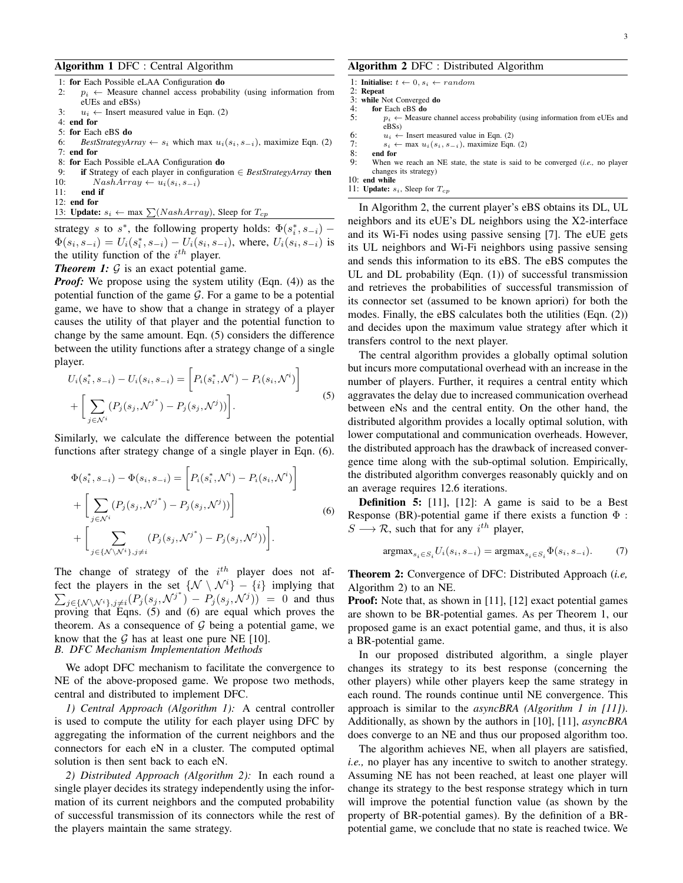## Algorithm 1 DFC : Central Algorithm

1: for Each Possible eLAA Configuration do

- 2:  $p_i \leftarrow$  Measure channel access probability (using information from eUEs and eBSs)
- 3:  $u_i \leftarrow$  Insert measured value in Eqn. (2)
- 4: end for
- 5: for Each eBS do
- 6: *BestStrategyArray*  $\leftarrow s_i$  which max  $u_i(s_i, s_{-i})$ , maximize Eqn. (2) 7: end for
- 8: for Each Possible eLAA Configuration do
- 9: **if** Strategy of each player in configuration  $\in$  *BestStrategyArray* then 10:  $NashArray \leftarrow u_i(s_i, s_{-i})$
- $NashArray \leftarrow u_i(s_i, s_{-i})$
- 11: end if 12: end for
- 13: **Update:**  $s_i \leftarrow \max \sum (NashArray)$ , Sleep for  $T_{cp}$

strategy s to  $s^*$ , the following property holds:  $\Phi(s_i^*, s_{-i})$  –  $\Phi(s_i, s_{-i}) = U_i(s_i^*, s_{-i}) - U_i(s_i, s_{-i})$ , where,  $U_i(s_i, s_{-i})$  is the utility function of the  $i^{th}$  player.

*Theorem 1:*  $\mathcal G$  is an exact potential game.

*Proof:* We propose using the system utility (Eqn. (4)) as the potential function of the game  $G$ . For a game to be a potential game, we have to show that a change in strategy of a player causes the utility of that player and the potential function to change by the same amount. Eqn. (5) considers the difference between the utility functions after a strategy change of a single player.

$$
U_i(s_i^*, s_{-i}) - U_i(s_i, s_{-i}) = \left[ P_i(s_i^*, \mathcal{N}^i) - P_i(s_i, \mathcal{N}^i) \right] + \left[ \sum_{j \in \mathcal{N}^i} (P_j(s_j, \mathcal{N}^j)^* - P_j(s_j, \mathcal{N}^j)) \right].
$$
\n(5)

Similarly, we calculate the difference between the potential functions after strategy change of a single player in Eqn. (6).

$$
\Phi(s_i^*, s_{-i}) - \Phi(s_i, s_{-i}) = \left[ P_i(s_i^*, \mathcal{N}^i) - P_i(s_i, \mathcal{N}^i) \right] \n+ \left[ \sum_{j \in \mathcal{N}^i} (P_j(s_j, \mathcal{N}^{j^*}) - P_j(s_j, \mathcal{N}^j)) \right] \n+ \left[ \sum_{j \in \{\mathcal{N} \setminus \mathcal{N}^i\}, j \neq i} (P_j(s_j, \mathcal{N}^{j^*}) - P_j(s_j, \mathcal{N}^j)) \right].
$$
\n(6)

The change of strategy of the  $i<sup>th</sup>$  player does not affect the players in the set  $\{N \setminus N^i\} - \{i\}$  implying that  $\sum_{j \in \{N \setminus \mathcal{N}^i\}, j \neq i} (P_j(s_j, \mathcal{N}^{j^*}) - P_j(s_j, \mathcal{N}^{j})) = 0$  and thus proving that Eqns. (5) and (6) are equal which proves the theorem. As a consequence of  $G$  being a potential game, we know that the  $G$  has at least one pure NE [10]. *B. DFC Mechanism Implementation Methods*

We adopt DFC mechanism to facilitate the convergence to NE of the above-proposed game. We propose two methods, central and distributed to implement DFC.

*1) Central Approach (Algorithm 1):* A central controller is used to compute the utility for each player using DFC by aggregating the information of the current neighbors and the connectors for each eN in a cluster. The computed optimal solution is then sent back to each eN.

*2) Distributed Approach (Algorithm 2):* In each round a single player decides its strategy independently using the information of its current neighbors and the computed probability of successful transmission of its connectors while the rest of the players maintain the same strategy.

## Algorithm 2 DFC : Distributed Algorithm

```
1: Initialise: t \leftarrow 0, s_i \leftarrow random
```

```
2: Repeat
```
- 3: while Not Converged do<br>4: for Each eBS do
- 4: for Each eBS do<br>5:  $p_i \leftarrow$  Measure  $p_i \leftarrow$  Measure channel access probability (using information from eUEs and eBSs)
- 6:  $u_i \leftarrow$  Insert measured value in Eqn. (2)<br>7:  $s_i \leftarrow \max u_i(s_i, s_{-i})$ , maximize Eqn.
- 7:  $s_i \leftarrow \max u_i(s_i, s_{-i})$ , maximize Eqn. (2)<br>8: **end for**
- 8: **end for**<br>9: When w 9: When we reach an NE state, the state is said to be converged (*i.e.,* no player changes its strategy) 10: end while
- 11: **Update:**  $s_i$ , Sleep for  $T_{cp}$

In Algorithm 2, the current player's eBS obtains its DL, UL neighbors and its eUE's DL neighbors using the X2-interface and its Wi-Fi nodes using passive sensing [7]. The eUE gets its UL neighbors and Wi-Fi neighbors using passive sensing and sends this information to its eBS. The eBS computes the UL and DL probability (Eqn. (1)) of successful transmission and retrieves the probabilities of successful transmission of its connector set (assumed to be known apriori) for both the modes. Finally, the eBS calculates both the utilities (Eqn. (2)) and decides upon the maximum value strategy after which it transfers control to the next player.

The central algorithm provides a globally optimal solution but incurs more computational overhead with an increase in the number of players. Further, it requires a central entity which aggravates the delay due to increased communication overhead between eNs and the central entity. On the other hand, the distributed algorithm provides a locally optimal solution, with lower computational and communication overheads. However, the distributed approach has the drawback of increased convergence time along with the sub-optimal solution. Empirically, the distributed algorithm converges reasonably quickly and on an average requires 12.6 iterations.

Definition 5: [11], [12]: A game is said to be a Best Response (BR)-potential game if there exists a function  $\Phi$  :  $S \longrightarrow \mathcal{R}$ , such that for any  $i^{th}$  player,

$$
\operatorname{argmax}_{s_i \in S_i} U_i(s_i, s_{-i}) = \operatorname{argmax}_{s_i \in S_i} \Phi(s_i, s_{-i}).\tag{7}
$$

Theorem 2: Convergence of DFC: Distributed Approach (*i.e,* Algorithm 2) to an NE.

Proof: Note that, as shown in [11], [12] exact potential games are shown to be BR-potential games. As per Theorem 1, our proposed game is an exact potential game, and thus, it is also a BR-potential game.

In our proposed distributed algorithm, a single player changes its strategy to its best response (concerning the other players) while other players keep the same strategy in each round. The rounds continue until NE convergence. This approach is similar to the *asyncBRA (Algorithm 1 in [11])*. Additionally, as shown by the authors in [10], [11], *asyncBRA* does converge to an NE and thus our proposed algorithm too.

The algorithm achieves NE, when all players are satisfied, *i.e.*, no player has any incentive to switch to another strategy. Assuming NE has not been reached, at least one player will change its strategy to the best response strategy which in turn will improve the potential function value (as shown by the property of BR-potential games). By the definition of a BRpotential game, we conclude that no state is reached twice. We